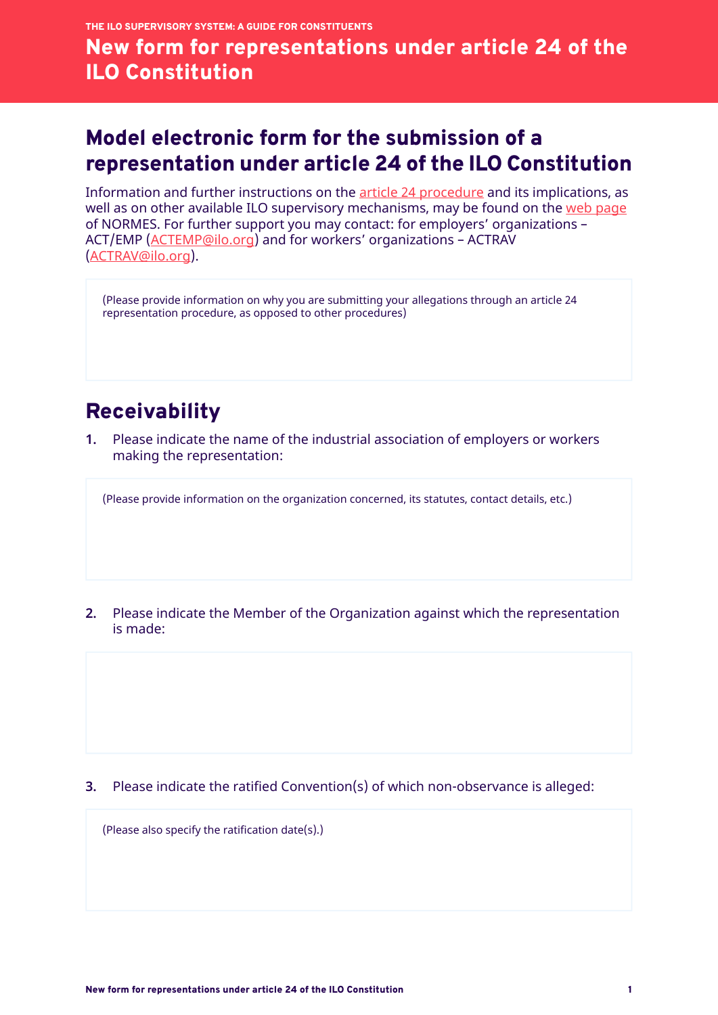## Model electronic form for the submission of a representation under article 24 of the ILO Constitution

Information and further instructions on the [article 24 procedure](https://www.ilo.org/wcmsp5/groups/public/---ed_norm/---normes/documents/meetingdocument/wcm_041899.pdf) and its implications, as well as on other available ILO supervisory mechanisms, may be found on the [web page](https://www.ilo.org/global/standards/lang--en/index.htm) of NORMES. For further support you may contact: for employers' organizations – ACT/EMP [\(ACTEMP@ilo.org\)](mailto:ACTEMP@ilo.org) and for workers' organizations – ACTRAV ([ACTRAV@ilo.org](mailto:ACTRAV@ilo.org)).

(Please provide information on why you are submitting your allegations through an article 24 representation procedure, as opposed to other procedures)

## **Receivability**

**1.** Please indicate the name of the industrial association of employers or workers making the representation:

(Please provide information on the organization concerned, its statutes, contact details, etc.)

**2.** Please indicate the Member of the Organization against which the representation is made:

**3.** Please indicate the ratified Convention(s) of which non-observance is alleged:

(Please also specify the ratification date(s).)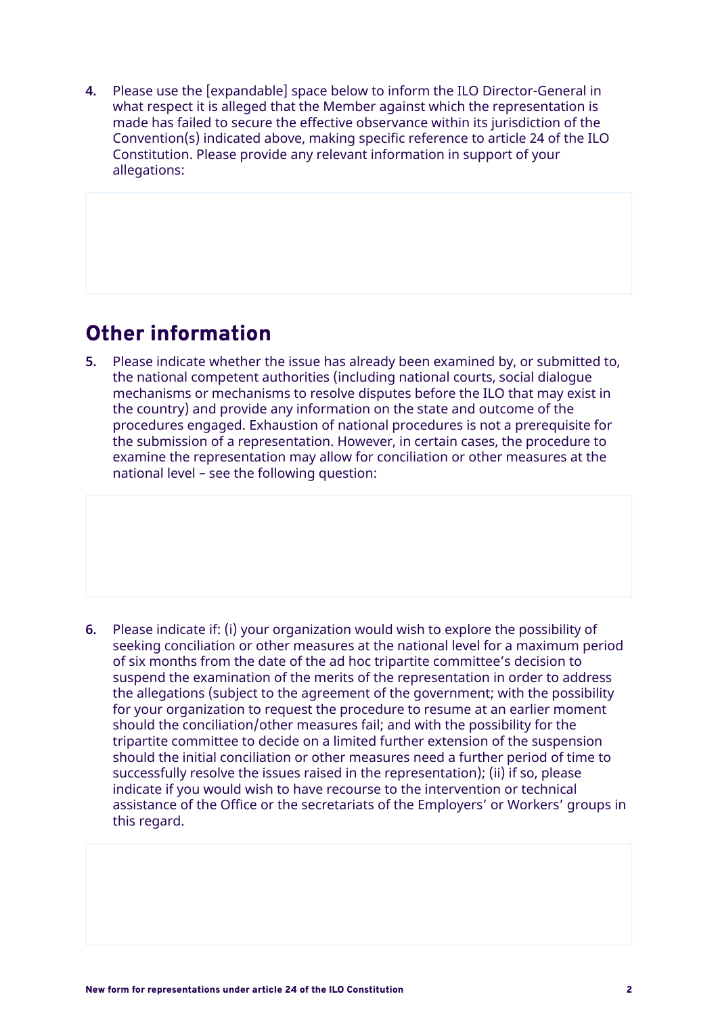**4.** Please use the [expandable] space below to inform the ILO Director-General in what respect it is alleged that the Member against which the representation is made has failed to secure the effective observance within its jurisdiction of the Convention(s) indicated above, making specific reference to article 24 of the ILO Constitution. Please provide any relevant information in support of your allegations:

## Other information

**5.** Please indicate whether the issue has already been examined by, or submitted to, the national competent authorities (including national courts, social dialogue mechanisms or mechanisms to resolve disputes before the ILO that may exist in the country) and provide any information on the state and outcome of the procedures engaged. Exhaustion of national procedures is not a prerequisite for the submission of a representation. However, in certain cases, the procedure to examine the representation may allow for conciliation or other measures at the national level – see the following question:

**6.** Please indicate if: (i) your organization would wish to explore the possibility of seeking conciliation or other measures at the national level for a maximum period of six months from the date of the ad hoc tripartite committee's decision to suspend the examination of the merits of the representation in order to address the allegations (subject to the agreement of the government; with the possibility for your organization to request the procedure to resume at an earlier moment should the conciliation/other measures fail; and with the possibility for the tripartite committee to decide on a limited further extension of the suspension should the initial conciliation or other measures need a further period of time to successfully resolve the issues raised in the representation); (ii) if so, please indicate if you would wish to have recourse to the intervention or technical assistance of the Office or the secretariats of the Employers' or Workers' groups in this regard.